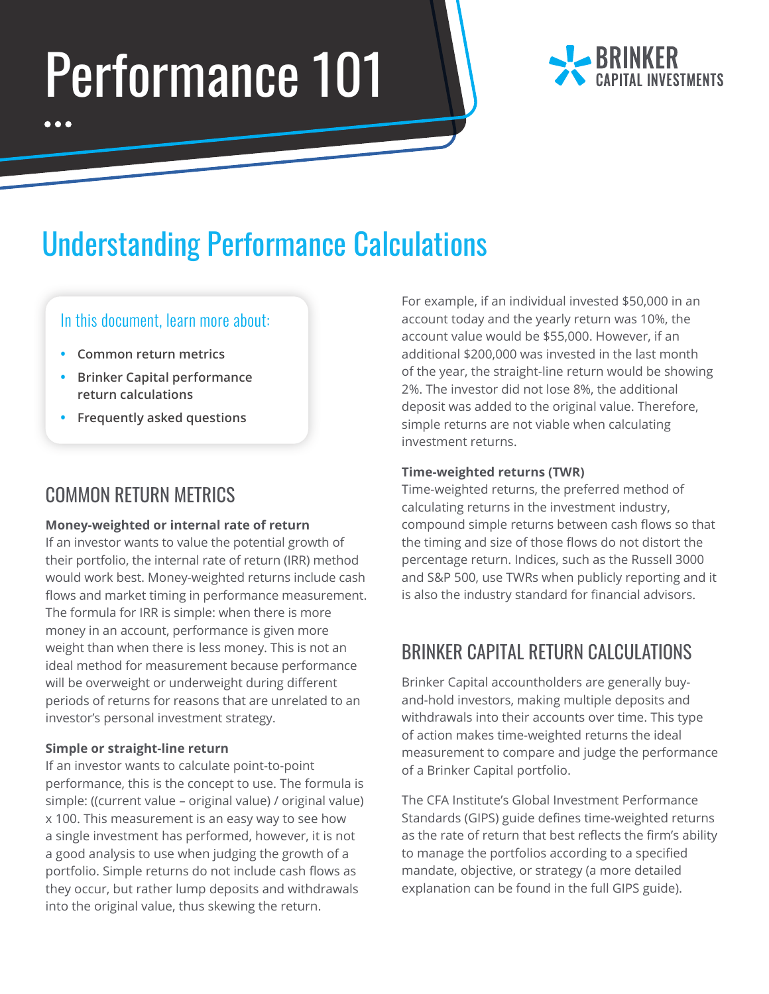# Performance 101



## Understanding Performance Calculations

#### In this document, learn more about:

- **• Common return metrics**
- **• Brinker Capital performance return calculations**
- **• Frequently asked questions**

## COMMON RETURN METRICS

#### **Money-weighted or internal rate of return**

If an investor wants to value the potential growth of their portfolio, the internal rate of return (IRR) method would work best. Money-weighted returns include cash flows and market timing in performance measurement. The formula for IRR is simple: when there is more money in an account, performance is given more weight than when there is less money. This is not an ideal method for measurement because performance will be overweight or underweight during different periods of returns for reasons that are unrelated to an investor's personal investment strategy.

#### **Simple or straight-line return**

If an investor wants to calculate point-to-point performance, this is the concept to use. The formula is simple: ((current value – original value) / original value) x 100. This measurement is an easy way to see how a single investment has performed, however, it is not a good analysis to use when judging the growth of a portfolio. Simple returns do not include cash flows as they occur, but rather lump deposits and withdrawals into the original value, thus skewing the return.

For example, if an individual invested \$50,000 in an account today and the yearly return was 10%, the account value would be \$55,000. However, if an additional \$200,000 was invested in the last month of the year, the straight-line return would be showing 2%. The investor did not lose 8%, the additional deposit was added to the original value. Therefore, simple returns are not viable when calculating investment returns.

#### **Time-weighted returns (TWR)**

Time-weighted returns, the preferred method of calculating returns in the investment industry, compound simple returns between cash flows so that the timing and size of those flows do not distort the percentage return. Indices, such as the Russell 3000 and S&P 500, use TWRs when publicly reporting and it is also the industry standard for financial advisors.

## BRINKER CAPITAL RETURN CALCULATIONS

Brinker Capital accountholders are generally buyand-hold investors, making multiple deposits and withdrawals into their accounts over time. This type of action makes time-weighted returns the ideal measurement to compare and judge the performance of a Brinker Capital portfolio.

The CFA Institute's Global Investment Performance Standards (GIPS) guide defines time-weighted returns as the rate of return that best reflects the firm's ability to manage the portfolios according to a specified mandate, objective, or strategy (a more detailed explanation can be found in the full GIPS guide).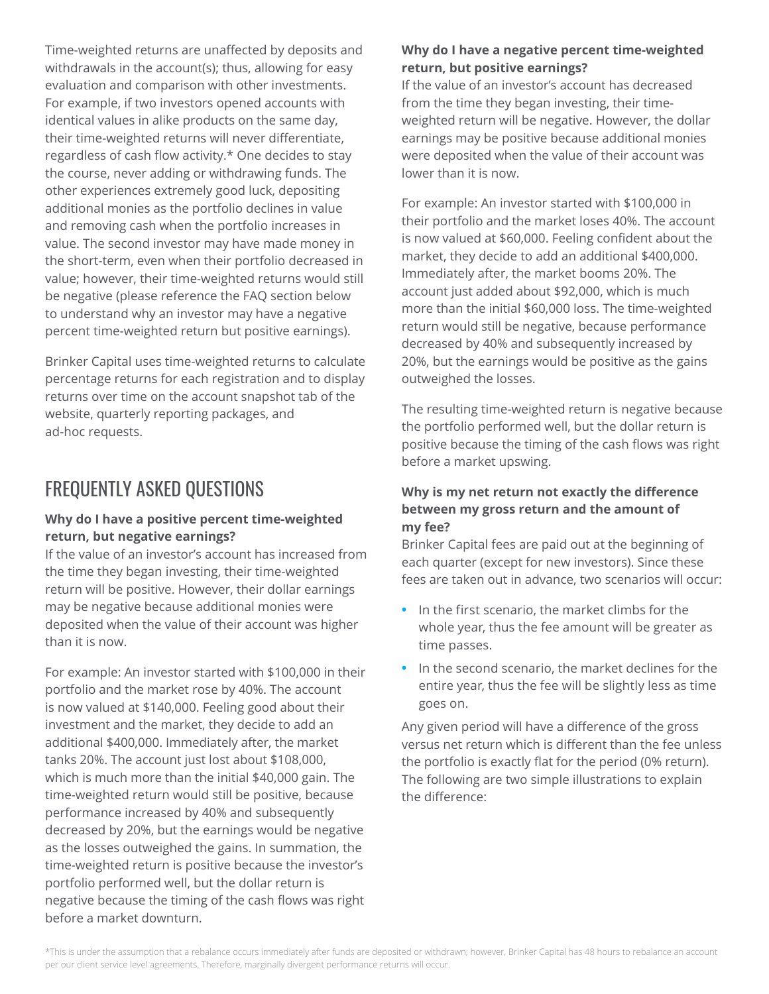Time-weighted returns are unaffected by deposits and withdrawals in the account(s); thus, allowing for easy evaluation and comparison with other investments. For example, if two investors opened accounts with identical values in alike products on the same day, their time-weighted returns will never differentiate, regardless of cash flow activity.\* One decides to stay the course, never adding or withdrawing funds. The other experiences extremely good luck, depositing additional monies as the portfolio declines in value and removing cash when the portfolio increases in value. The second investor may have made money in the short-term, even when their portfolio decreased in value; however, their time-weighted returns would still be negative (please reference the FAQ section below to understand why an investor may have a negative percent time-weighted return but positive earnings).

Brinker Capital uses time-weighted returns to calculate percentage returns for each registration and to display returns over time on the account snapshot tab of the website, quarterly reporting packages, and ad-hoc requests.

## FREQUENTLY ASKED QUESTIONS

#### **Why do I have a positive percent time-weighted return, but negative earnings?**

If the value of an investor's account has increased from the time they began investing, their time-weighted return will be positive. However, their dollar earnings may be negative because additional monies were deposited when the value of their account was higher than it is now.

For example: An investor started with \$100,000 in their portfolio and the market rose by 40%. The account is now valued at \$140,000. Feeling good about their investment and the market, they decide to add an additional \$400,000. Immediately after, the market tanks 20%. The account just lost about \$108,000, which is much more than the initial \$40,000 gain. The time-weighted return would still be positive, because performance increased by 40% and subsequently decreased by 20%, but the earnings would be negative as the losses outweighed the gains. In summation, the time-weighted return is positive because the investor's portfolio performed well, but the dollar return is negative because the timing of the cash flows was right before a market downturn.

#### **Why do I have a negative percent time-weighted return, but positive earnings?**

If the value of an investor's account has decreased from the time they began investing, their timeweighted return will be negative. However, the dollar earnings may be positive because additional monies were deposited when the value of their account was lower than it is now.

For example: An investor started with \$100,000 in their portfolio and the market loses 40%. The account is now valued at \$60,000. Feeling confident about the market, they decide to add an additional \$400,000. Immediately after, the market booms 20%. The account just added about \$92,000, which is much more than the initial \$60,000 loss. The time-weighted return would still be negative, because performance decreased by 40% and subsequently increased by 20%, but the earnings would be positive as the gains outweighed the losses.

The resulting time-weighted return is negative because the portfolio performed well, but the dollar return is positive because the timing of the cash flows was right before a market upswing.

#### **Why is my net return not exactly the difference between my gross return and the amount of my fee?**

Brinker Capital fees are paid out at the beginning of each quarter (except for new investors). Since these fees are taken out in advance, two scenarios will occur:

- **•** In the first scenario, the market climbs for the whole year, thus the fee amount will be greater as time passes.
- **•** In the second scenario, the market declines for the entire year, thus the fee will be slightly less as time goes on.

Any given period will have a difference of the gross versus net return which is different than the fee unless the portfolio is exactly flat for the period (0% return). The following are two simple illustrations to explain the difference: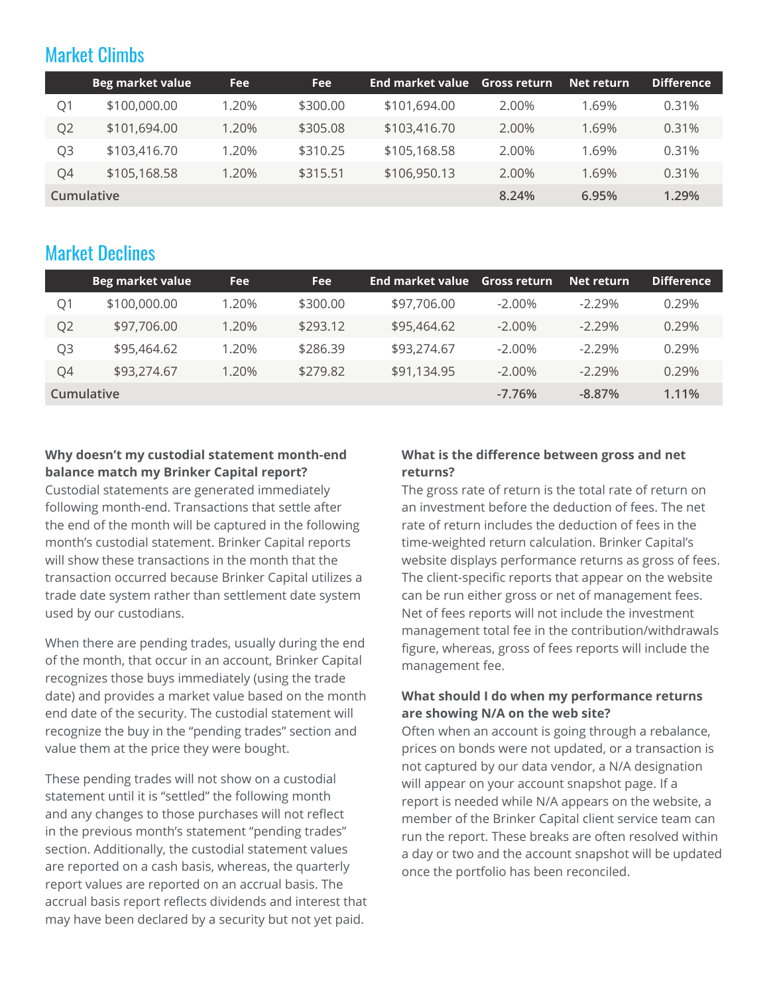### Market Climbs

|                | <b>Beg market value</b> | <b>Fee</b> | <b>Fee</b> | <b>End market value</b> | <b>Gross return</b> | Net return | <b>Difference</b> |
|----------------|-------------------------|------------|------------|-------------------------|---------------------|------------|-------------------|
| Q1             | \$100,000.00            | 1.20%      | \$300.00   | \$101,694.00            | 2.00%               | 1.69%      | 0.31%             |
| Q <sub>2</sub> | \$101,694.00            | 1.20%      | \$305.08   | \$103,416.70            | 2.00%               | 1.69%      | 0.31%             |
| Q3             | \$103,416.70            | 1.20%      | \$310.25   | \$105,168.58            | 2.00%               | 1.69%      | 0.31%             |
| Q4             | \$105,168.58            | 1.20%      | \$315.51   | \$106,950.13            | 2.00%               | 1.69%      | 0.31%             |
|                | Cumulative              |            | 8.24%      | 6.95%                   | 1.29%               |            |                   |

## Market Declines

|                | <b>Beg market value</b> | <b>Fee</b> | <b>Fee</b> | <b>End market value</b> | <b>Gross return</b> | Net return | <b>Difference</b> |
|----------------|-------------------------|------------|------------|-------------------------|---------------------|------------|-------------------|
| O1             | \$100,000.00            | 1.20%      | \$300.00   | \$97,706.00             | $-2.00\%$           | $-2.29%$   | 0.29%             |
| Q <sub>2</sub> | \$97,706.00             | 1.20%      | \$293.12   | \$95,464.62             | $-2.00\%$           | $-2.29%$   | 0.29%             |
| Q3             | \$95,464.62             | 1.20%      | \$286.39   | \$93,274.67             | $-2.00\%$           | $-2.29%$   | 0.29%             |
| Q4             | \$93,274.67             | 1.20%      | \$279.82   | \$91,134.95             | $-2.00\%$           | $-2.29\%$  | 0.29%             |
| Cumulative     |                         |            |            |                         | $-7.76%$            | $-8.87%$   | $1.11\%$          |

#### **Why doesn't my custodial statement month-end balance match my Brinker Capital report?**

Custodial statements are generated immediately following month-end. Transactions that settle after the end of the month will be captured in the following month's custodial statement. Brinker Capital reports will show these transactions in the month that the transaction occurred because Brinker Capital utilizes a trade date system rather than settlement date system used by our custodians.

When there are pending trades, usually during the end of the month, that occur in an account, Brinker Capital recognizes those buys immediately (using the trade date) and provides a market value based on the month end date of the security. The custodial statement will recognize the buy in the "pending trades" section and value them at the price they were bought.

These pending trades will not show on a custodial statement until it is "settled" the following month and any changes to those purchases will not reflect in the previous month's statement "pending trades" section. Additionally, the custodial statement values are reported on a cash basis, whereas, the quarterly report values are reported on an accrual basis. The accrual basis report reflects dividends and interest that may have been declared by a security but not yet paid.

#### **What is the difference between gross and net returns?**

The gross rate of return is the total rate of return on an investment before the deduction of fees. The net rate of return includes the deduction of fees in the time-weighted return calculation. Brinker Capital's website displays performance returns as gross of fees. The client-specific reports that appear on the website can be run either gross or net of management fees. Net of fees reports will not include the investment management total fee in the contribution/withdrawals figure, whereas, gross of fees reports will include the management fee.

#### **What should I do when my performance returns are showing N/A on the web site?**

Often when an account is going through a rebalance, prices on bonds were not updated, or a transaction is not captured by our data vendor, a N/A designation will appear on your account snapshot page. If a report is needed while N/A appears on the website, a member of the Brinker Capital client service team can run the report. These breaks are often resolved within a day or two and the account snapshot will be updated once the portfolio has been reconciled.